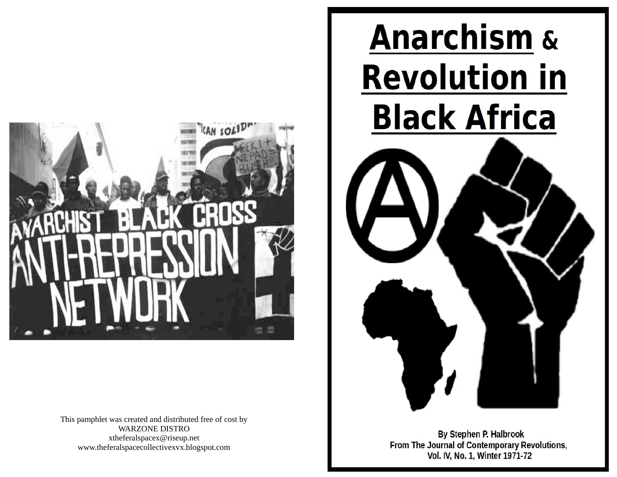

This pamphlet was created and distributed free of cost by WARZONE DISTRO xtheferalspacex@riseup.net www.theferalspacecollectivexvx.blogspot.com



**By Stephen P. Halbrook** From The Journal of Contemporary Revolutions, Vol. IV, No. 1, Winter 1971-72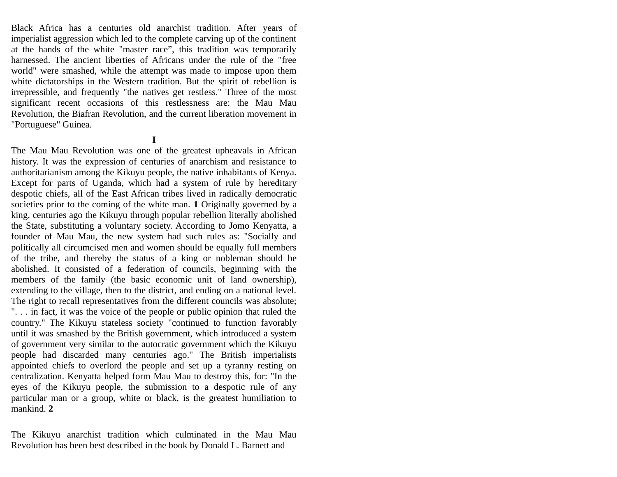Black Africa has a centuries old anarchist tradition. After years of imperialist aggression which led to the complete carving up of the continent at the hands of the white "master race", this tradition was temporarily harnessed. The ancient liberties of Africans under the rule of the "free world" were smashed, while the attempt was made to impose upon them white dictatorships in the Western tradition. But the spirit of rebellion is irrepressible, and frequently "the natives get restless." Three of the most significant recent occasions of this restlessness are: the Mau Mau Revolution, the Biafran Revolution, and the current liberation movement in "Portuguese" Guinea.

**I**

The Mau Mau Revolution was one of the greatest upheavals in African history. It was the expression of centuries of anarchism and resistance to authoritarianism among the Kikuyu people, the native inhabitants of Kenya. Except for parts of Uganda, which had a system of rule by hereditary despotic chiefs, all of the East African tribes lived in radically democratic societies prior to the coming of the white man. **1** Originally governed by a king, centuries ago the Kikuyu through popular rebellion literally abolished the State, substituting a voluntary society. According to Jomo Kenyatta, a founder of Mau Mau, the new system had such rules as: "Socially and politically all circumcised men and women should be equally full members of the tribe, and thereby the status of a king or nobleman should be abolished. It consisted of a federation of councils, beginning with the members of the family (the basic economic unit of land ownership), extending to the village, then to the district, and ending on a national level. The right to recall representatives from the different councils was absolute; ". . . in fact, it was the voice of the people or public opinion that ruled the country." The Kikuyu stateless society "continued to function favorably until it was smashed by the British government, which introduced a system of government very similar to the autocratic government which the Kikuyu people had discarded many centuries ago." The British imperialists appointed chiefs to overlord the people and set up a tyranny resting on centralization. Kenyatta helped form Mau Mau to destroy this, for: "In the eyes of the Kikuyu people, the submission to a despotic rule of any particular man or a group, white or black, is the greatest humiliation to mankind. **2**

The Kikuyu anarchist tradition which culminated in the Mau Mau Revolution has been best described in the book by Donald L. Barnett and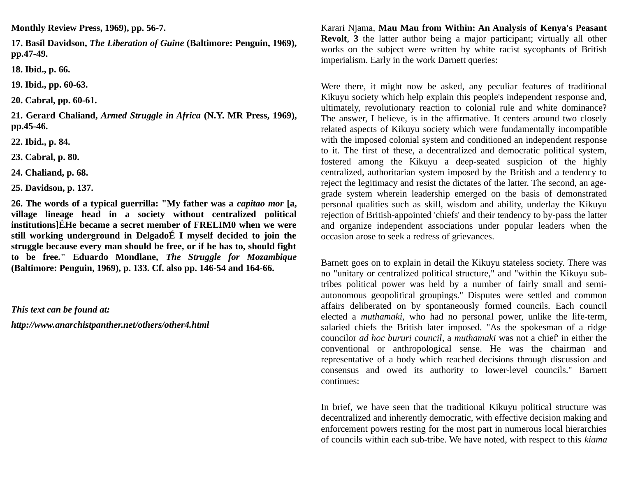**Monthly Review Press, 1969), pp. 56-7.**

**17. Basil Davidson,** *The Liberation of Guine* **(Baltimore: Penguin, 1969), pp.47-49.**

**18. Ibid., p. 66.**

**19. Ibid., pp. 60-63.**

**20. Cabral, pp. 60-61.**

**21. Gerard Chaliand,** *Armed Struggle in Africa* **(N.Y. MR Press, 1969), pp.45-46.**

**22. Ibid., p. 84.**

**23. Cabral, p. 80.**

**24. Chaliand, p. 68.**

**25. Davidson, p. 137.**

**26. The words of a typical guerrilla: "My father was a** *capitao mor* **[a, village lineage head in a society without centralized political institutions]ÉHe became a secret member of FRELIM0 when we were still working underground in DelgadoÉ I myself decided to join the struggle because every man should be free, or if he has to, should fight to be free." Eduardo Mondlane,** *The Struggle for Mozambique* **(Baltimore: Penguin, 1969), p. 133. Cf. also pp. 146-54 and 164-66.**

*This text can be found at:*

*http://www.anarchistpanther.net/others/other4.html*

Karari Njama, **Mau Mau from Within: An Analysis of Kenya's Peasant Revolt**, **3** the latter author being a major participant; virtually all other works on the subject were written by white racist sycophants of British imperialism. Early in the work Darnett queries:

Were there, it might now be asked, any peculiar features of traditional Kikuyu society which help explain this people's independent response and, ultimately, revolutionary reaction to colonial rule and white dominance? The answer, I believe, is in the affirmative. It centers around two closely related aspects of Kikuyu society which were fundamentally incompatible with the imposed colonial system and conditioned an independent response to it. The first of these, a decentralized and democratic political system, fostered among the Kikuyu a deep-seated suspicion of the highly centralized, authoritarian system imposed by the British and a tendency to reject the legitimacy and resist the dictates of the latter. The second, an agegrade system wherein leadership emerged on the basis of demonstrated personal qualities such as skill, wisdom and ability, underlay the Kikuyu rejection of British-appointed 'chiefs' and their tendency to by-pass the latter and organize independent associations under popular leaders when the occasion arose to seek a redress of grievances.

Barnett goes on to explain in detail the Kikuyu stateless society. There was no "unitary or centralized political structure," and "within the Kikuyu subtribes political power was held by a number of fairly small and semiautonomous geopolitical groupings." Disputes were settled and common affairs deliberated on by spontaneously formed councils. Each council elected a *muthamaki*, who had no personal power, unlike the life-term, salaried chiefs the British later imposed. "As the spokesman of a ridge councilor *ad hoc bururi council*, a *muthamaki* was not a chief' in either the conventional or anthropological sense. He was the chairman and representative of a body which reached decisions through discussion and consensus and owed its authority to lower-level councils." Barnett continues:

In brief, we have seen that the traditional Kikuyu political structure was decentralized and inherently democratic, with effective decision making and enforcement powers resting for the most part in numerous local hierarchies of councils within each sub-tribe. We have noted, with respect to this *kiama*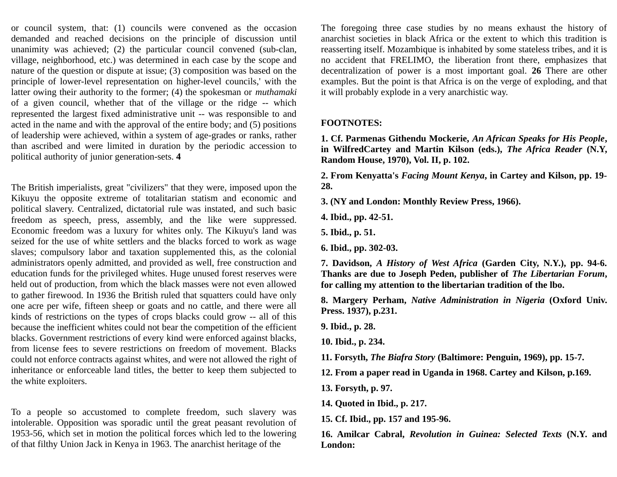or council system, that: (1) councils were convened as the occasion demanded and reached decisions on the principle of discussion until unanimity was achieved; (2) the particular council convened (sub-clan, village, neighborhood, etc.) was determined in each case by the scope and nature of the question or dispute at issue; (3) composition was based on the principle of lower-level representation on higher-level councils,' with the latter owing their authority to the former; (4) the spokesman or *muthamaki* of a given council, whether that of the village or the ridge -- which represented the largest fixed administrative unit -- was responsible to and acted in the name and with the approval of the entire body; and (5) positions of leadership were achieved, within a system of age-grades or ranks, rather than ascribed and were limited in duration by the periodic accession to political authority of junior generation-sets. **4**

The British imperialists, great "civilizers" that they were, imposed upon the Kikuyu the opposite extreme of totalitarian statism and economic and political slavery. Centralized, dictatorial rule was instated, and such basic freedom as speech, press, assembly, and the like were suppressed. Economic freedom was a luxury for whites only. The Kikuyu's land was seized for the use of white settlers and the blacks forced to work as wage slaves; compulsory labor and taxation supplemented this, as the colonial administrators openly admitted, and provided as well, free construction and education funds for the privileged whites. Huge unused forest reserves were held out of production, from which the black masses were not even allowed to gather firewood. In 1936 the British ruled that squatters could have only one acre per wife, fifteen sheep or goats and no cattle, and there were all kinds of restrictions on the types of crops blacks could grow -- all of this because the inefficient whites could not bear the competition of the efficient blacks. Government restrictions of every kind were enforced against blacks, from license fees to severe restrictions on freedom of movement. Blacks could not enforce contracts against whites, and were not allowed the right of inheritance or enforceable land titles, the better to keep them subjected to the white exploiters.

To a people so accustomed to complete freedom, such slavery was intolerable. Opposition was sporadic until the great peasant revolution of 1953-56, which set in motion the political forces which led to the lowering of that filthy Union Jack in Kenya in 1963. The anarchist heritage of the

The foregoing three case studies by no means exhaust the history of anarchist societies in black Africa or the extent to which this tradition is reasserting itself. Mozambique is inhabited by some stateless tribes, and it is no accident that FRELIMO, the liberation front there, emphasizes that decentralization of power is a most important goal. **26** There are other examples. But the point is that Africa is on the verge of exploding, and that it will probably explode in a very anarchistic way.

## **FOOTNOTES:**

**1. Cf. Parmenas Githendu Mockerie,** *An African Speaks for His People***, in WilfredCartey and Martin Kilson (eds.),** *The Africa Reader* **(N.Y, Random House, 1970), Vol. II, p. 102.**

**2. From Kenyatta's** *Facing Mount Kenya***, in Cartey and Kilson, pp. 19- 28.**

**3. (NY and London: Monthly Review Press, 1966).**

**4. Ibid., pp. 42-51.**

**5. Ibid., p. 51.**

**6. Ibid., pp. 302-03.**

**7. Davidson,** *A History of West Africa* **(Garden City, N.Y.), pp. 94-6. Thanks are due to Joseph Peden, publisher of** *The Libertarian Forum***, for calling my attention to the libertarian tradition of the lbo.**

**8. Margery Perham,** *Native Administration in Nigeria* **(Oxford Univ. Press. 1937), p.231.**

**9. Ibid., p. 28.**

**10. Ibid., p. 234.**

**11. Forsyth,** *The Biafra Story* **(Baltimore: Penguin, 1969), pp. 15-7.**

**12. From a paper read in Uganda in 1968. Cartey and Kilson, p.169.**

**13. Forsyth, p. 97.**

**14. Quoted in Ibid., p. 217.**

**15. Cf. Ibid., pp. 157 and 195-96.**

**16. Amilcar Cabral,** *Revolution in Guinea: Selected Texts* **(N.Y. and London:**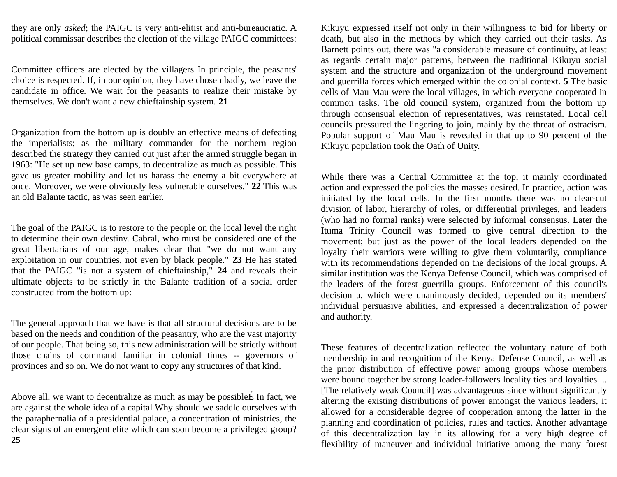they are only *asked*; the PAIGC is very anti-elitist and anti-bureaucratic. A political commissar describes the election of the village PAIGC committees:

Committee officers are elected by the villagers In principle, the peasants' choice is respected. If, in our opinion, they have chosen badly, we leave the candidate in office. We wait for the peasants to realize their mistake by themselves. We don't want a new chieftainship system. **21**

Organization from the bottom up is doubly an effective means of defeating the imperialists; as the military commander for the northern region described the strategy they carried out just after the armed struggle began in 1963: "He set up new base camps, to decentralize as much as possible. This gave us greater mobility and let us harass the enemy a bit everywhere at once. Moreover, we were obviously less vulnerable ourselves." **22** This was an old Balante tactic, as was seen earlier.

The goal of the PAIGC is to restore to the people on the local level the right to determine their own destiny. Cabral, who must be considered one of the great libertarians of our age, makes clear that "we do not want any exploitation in our countries, not even by black people." **23** He has stated that the PAIGC "is not a system of chieftainship," **24** and reveals their ultimate objects to be strictly in the Balante tradition of a social order constructed from the bottom up:

The general approach that we have is that all structural decisions are to be based on the needs and condition of the peasantry, who are the vast majority of our people. That being so, this new administration will be strictly without those chains of command familiar in colonial times -- governors of provinces and so on. We do not want to copy any structures of that kind.

Above all, we want to decentralize as much as may be possibleÉ In fact, we are against the whole idea of a capital Why should we saddle ourselves with the paraphernalia of a presidential palace, a concentration of ministries, the clear signs of an emergent elite which can soon become a privileged group? **25**

Kikuyu expressed itself not only in their willingness to bid for liberty or death, but also in the methods by which they carried out their tasks. As Barnett points out, there was "a considerable measure of continuity, at least as regards certain major patterns, between the traditional Kikuyu social system and the structure and organization of the underground movement and guerrilla forces which emerged within the colonial context. **5** The basic cells of Mau Mau were the local villages, in which everyone cooperated in common tasks. The old council system, organized from the bottom up through consensual election of representatives, was reinstated. Local cell councils pressured the lingering to join, mainly by the threat of ostracism. Popular support of Mau Mau is revealed in that up to 90 percent of the Kikuyu population took the Oath of Unity.

While there was a Central Committee at the top, it mainly coordinated action and expressed the policies the masses desired. In practice, action was initiated by the local cells. In the first months there was no clear-cut division of labor, hierarchy of roles, or differential privileges, and leaders (who had no formal ranks) were selected by informal consensus. Later the Ituma Trinity Council was formed to give central direction to the movement; but just as the power of the local leaders depended on the loyalty their warriors were willing to give them voluntarily, compliance with its recommendations depended on the decisions of the local groups. A similar institution was the Kenya Defense Council, which was comprised of the leaders of the forest guerrilla groups. Enforcement of this council's decision a, which were unanimously decided, depended on its members' individual persuasive abilities, and expressed a decentralization of power and authority.

These features of decentralization reflected the voluntary nature of both membership in and recognition of the Kenya Defense Council, as well as the prior distribution of effective power among groups whose members were bound together by strong leader-followers locality ties and loyalties ... [The relatively weak Council] was advantageous since without significantly altering the existing distributions of power amongst the various leaders, it allowed for a considerable degree of cooperation among the latter in the planning and coordination of policies, rules and tactics. Another advantage of this decentralization lay in its allowing for a very high degree of flexibility of maneuver and individual initiative among the many forest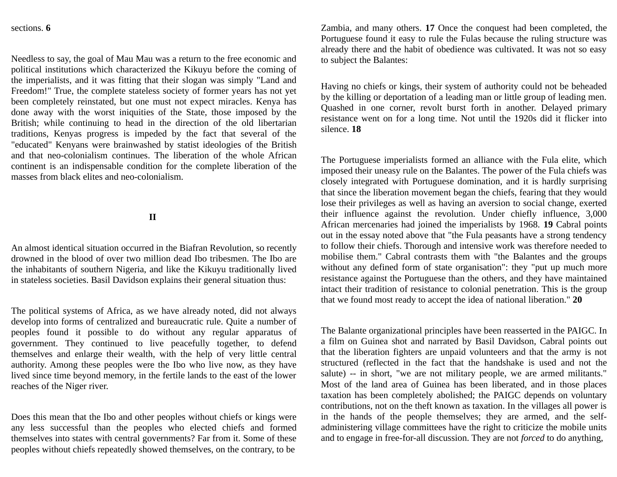## sections. **6**

Needless to say, the goal of Mau Mau was a return to the free economic and political institutions which characterized the Kikuyu before the coming of the imperialists, and it was fitting that their slogan was simply "Land and Freedom!" True, the complete stateless society of former years has not yet been completely reinstated, but one must not expect miracles. Kenya has done away with the worst iniquities of the State, those imposed by the British; while continuing to head in the direction of the old libertarian traditions, Kenyas progress is impeded by the fact that several of the "educated" Kenyans were brainwashed by statist ideologies of the British and that neo-colonialism continues. The liberation of the whole African continent is an indispensable condition for the complete liberation of the masses from black elites and neo-colonialism.

**II** 

An almost identical situation occurred in the Biafran Revolution, so recently drowned in the blood of over two million dead Ibo tribesmen. The Ibo are the inhabitants of southern Nigeria, and like the Kikuyu traditionally lived in stateless societies. Basil Davidson explains their general situation thus:

The political systems of Africa, as we have already noted, did not always develop into forms of centralized and bureaucratic rule. Quite a number of peoples found it possible to do without any regular apparatus of government. They continued to live peacefully together, to defend themselves and enlarge their wealth, with the help of very little central authority. Among these peoples were the Ibo who live now, as they have lived since time beyond memory, in the fertile lands to the east of the lower reaches of the Niger river.

Does this mean that the Ibo and other peoples without chiefs or kings were any less successful than the peoples who elected chiefs and formed themselves into states with central governments? Far from it. Some of these peoples without chiefs repeatedly showed themselves, on the contrary, to be

Zambia, and many others. **17** Once the conquest had been completed, the Portuguese found it easy to rule the Fulas because the ruling structure was already there and the habit of obedience was cultivated. It was not so easy to subject the Balantes:

Having no chiefs or kings, their system of authority could not be beheaded by the killing or deportation of a leading man or little group of leading men. Quashed in one corner, revolt burst forth in another. Delayed primary resistance went on for a long time. Not until the 1920s did it flicker into silence. **18**

The Portuguese imperialists formed an alliance with the Fula elite, which imposed their uneasy rule on the Balantes. The power of the Fula chiefs was closely integrated with Portuguese domination, and it is hardly surprising that since the liberation movement began the chiefs, fearing that they would lose their privileges as well as having an aversion to social change, exerted their influence against the revolution. Under chiefly influence, 3,000 African mercenaries had joined the imperialists by 1968. **19** Cabral points out in the essay noted above that "the Fula peasants have a strong tendency to follow their chiefs. Thorough and intensive work was therefore needed to mobilise them." Cabral contrasts them with "the Balantes and the groups without any defined form of state organisation": they "put up much more resistance against the Portuguese than the others, and they have maintained intact their tradition of resistance to colonial penetration. This is the group that we found most ready to accept the idea of national liberation." **20**

The Balante organizational principles have been reasserted in the PAIGC. In a film on Guinea shot and narrated by Basil Davidson, Cabral points out that the liberation fighters are unpaid volunteers and that the army is not structured (reflected in the fact that the handshake is used and not the salute) -- in short, "we are not military people, we are armed militants." Most of the land area of Guinea has been liberated, and in those places taxation has been completely abolished; the PAIGC depends on voluntary contributions, not on the theft known as taxation. In the villages all power is in the hands of the people themselves; they are armed, and the selfadministering village committees have the right to criticize the mobile units and to engage in free-for-all discussion. They are not *forced* to do anything,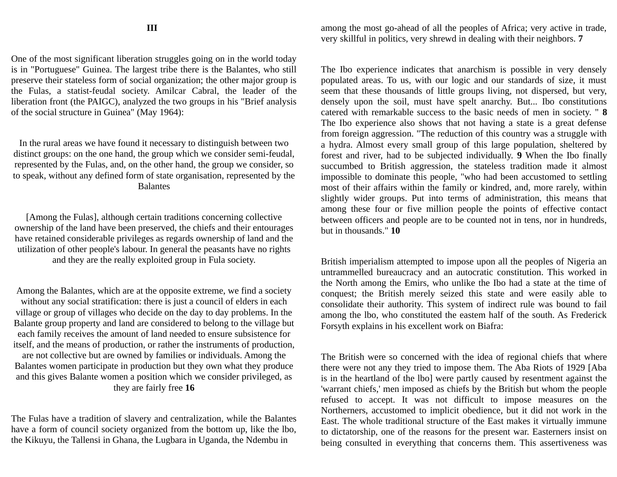One of the most significant liberation struggles going on in the world today is in "Portuguese" Guinea. The largest tribe there is the Balantes, who still preserve their stateless form of social organization; the other major group is the Fulas, a statist-feudal society. Amilcar Cabral, the leader of the liberation front (the PAIGC), analyzed the two groups in his "Brief analysis of the social structure in Guinea" (May 1964):

In the rural areas we have found it necessary to distinguish between two distinct groups: on the one hand, the group which we consider semi-feudal, represented by the Fulas, and, on the other hand, the group we consider, so to speak, without any defined form of state organisation, represented by the Balantes

[Among the Fulas], although certain traditions concerning collective ownership of the land have been preserved, the chiefs and their entourages have retained considerable privileges as regards ownership of land and the utilization of other people's labour. In general the peasants have no rights and they are the really exploited group in Fula society.

Among the Balantes, which are at the opposite extreme, we find a society without any social stratification: there is just a council of elders in each village or group of villages who decide on the day to day problems. In the Balante group property and land are considered to belong to the village but each family receives the amount of land needed to ensure subsistence for itself, and the means of production, or rather the instruments of production, are not collective but are owned by families or individuals. Among the Balantes women participate in production but they own what they produce and this gives Balante women a position which we consider privileged, as they are fairly free **16**

The Fulas have a tradition of slavery and centralization, while the Balantes have a form of council society organized from the bottom up, like the lbo, the Kikuyu, the Tallensi in Ghana, the Lugbara in Uganda, the Ndembu in

among the most go-ahead of all the peoples of Africa; very active in trade, very skillful in politics, very shrewd in dealing with their neighbors. **7**

The Ibo experience indicates that anarchism is possible in very densely populated areas. To us, with our logic and our standards of size, it must seem that these thousands of little groups living, not dispersed, but very, densely upon the soil, must have spelt anarchy. But... Ibo constitutions catered with remarkable success to the basic needs of men in society. " **8** The Ibo experience also shows that not having a state is a great defense from foreign aggression. "The reduction of this country was a struggle with a hydra. Almost every small group of this large population, sheltered by forest and river, had to be subjected individually. **9** When the Ibo finally succumbed to British aggression, the stateless tradition made it almost impossible to dominate this people, "who had been accustomed to settling most of their affairs within the family or kindred, and, more rarely, within slightly wider groups. Put into terms of administration, this means that among these four or five million people the points of effective contact between officers and people are to be counted not in tens, nor in hundreds, but in thousands." **10**

British imperialism attempted to impose upon all the peoples of Nigeria an untrammelled bureaucracy and an autocratic constitution. This worked in the North among the Emirs, who unlike the Ibo had a state at the time of conquest; the British merely seized this state and were easily able to consolidate their authority. This system of indirect rule was bound to fail among the lbo, who constituted the eastem half of the south. As Frederick Forsyth explains in his excellent work on Biafra:

The British were so concerned with the idea of regional chiefs that where there were not any they tried to impose them. The Aba Riots of 1929 [Aba is in the heartland of the lbo] were partly caused by resentment against the 'warrant chiefs,' men imposed as chiefs by the British but whom the people refused to accept. It was not difficult to impose measures on the Northerners, accustomed to implicit obedience, but it did not work in the East. The whole traditional structure of the East makes it virtually immune to dictatorship, one of the reasons for the present war. Easterners insist on being consulted in everything that concerns them. This assertiveness was